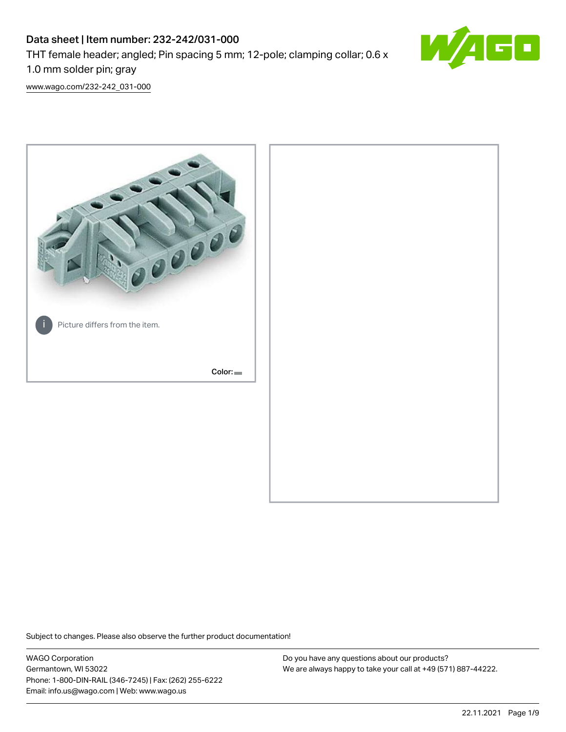# Data sheet | Item number: 232-242/031-000 THT female header; angled; Pin spacing 5 mm; 12-pole; clamping collar; 0.6 x 1.0 mm solder pin; gray



[www.wago.com/232-242\\_031-000](http://www.wago.com/232-242_031-000)



Subject to changes. Please also observe the further product documentation!

WAGO Corporation Germantown, WI 53022 Phone: 1-800-DIN-RAIL (346-7245) | Fax: (262) 255-6222 Email: info.us@wago.com | Web: www.wago.us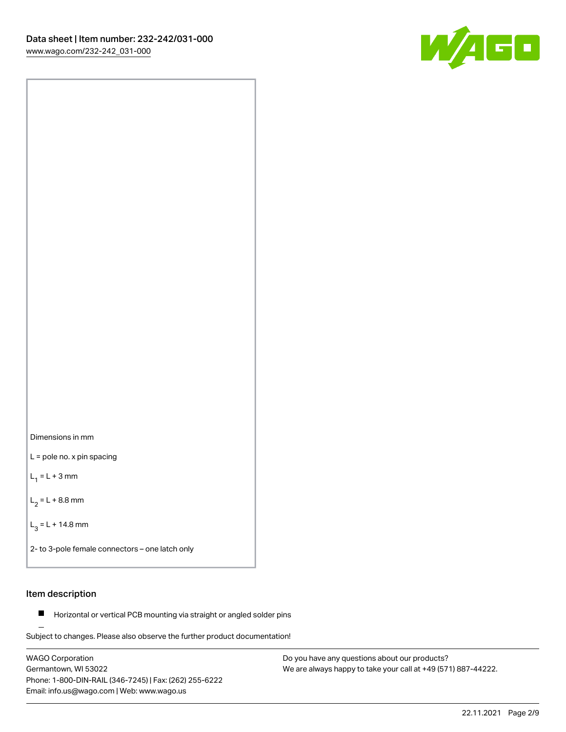

Dimensions in mm

L = pole no. x pin spacing

 $L_1 = L + 3$  mm

 $L_2 = L + 8.8$  mm

 $L_3 = L + 14.8$  mm

2- to 3-pole female connectors – one latch only

### Item description

**Horizontal or vertical PCB mounting via straight or angled solder pins** 

Subject to changes. Please also observe the further product documentation! For board-to-board and board-to-wire connections

WAGO Corporation Germantown, WI 53022 Phone: 1-800-DIN-RAIL (346-7245) | Fax: (262) 255-6222 Email: info.us@wago.com | Web: www.wago.us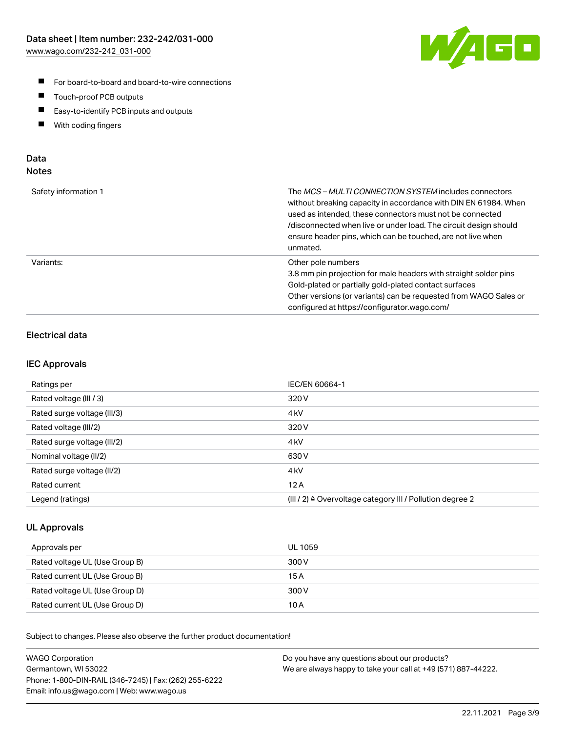

- For board-to-board and board-to-wire connections
- $\blacksquare$ Touch-proof PCB outputs
- $\blacksquare$ Easy-to-identify PCB inputs and outputs
- $\blacksquare$ With coding fingers

### Data **Notes**

| Safety information 1 | The <i>MCS – MULTI CONNECTION SYSTEM</i> includes connectors<br>without breaking capacity in accordance with DIN EN 61984. When<br>used as intended, these connectors must not be connected<br>/disconnected when live or under load. The circuit design should<br>ensure header pins, which can be touched, are not live when<br>unmated. |
|----------------------|--------------------------------------------------------------------------------------------------------------------------------------------------------------------------------------------------------------------------------------------------------------------------------------------------------------------------------------------|
| Variants:            | Other pole numbers<br>3.8 mm pin projection for male headers with straight solder pins<br>Gold-plated or partially gold-plated contact surfaces<br>Other versions (or variants) can be requested from WAGO Sales or<br>configured at https://configurator.wago.com/                                                                        |

# Electrical data

### IEC Approvals

| Ratings per                 | IEC/EN 60664-1                                                        |
|-----------------------------|-----------------------------------------------------------------------|
| Rated voltage (III / 3)     | 320 V                                                                 |
| Rated surge voltage (III/3) | 4 <sub>k</sub> V                                                      |
| Rated voltage (III/2)       | 320 V                                                                 |
| Rated surge voltage (III/2) | 4 <sub>k</sub> V                                                      |
| Nominal voltage (II/2)      | 630 V                                                                 |
| Rated surge voltage (II/2)  | 4 <sub>kV</sub>                                                       |
| Rated current               | 12A                                                                   |
| Legend (ratings)            | $(III / 2)$ $\triangle$ Overvoltage category III / Pollution degree 2 |

### UL Approvals

| Approvals per                  | UL 1059 |
|--------------------------------|---------|
| Rated voltage UL (Use Group B) | 300 V   |
| Rated current UL (Use Group B) | 15 A    |
| Rated voltage UL (Use Group D) | 300 V   |
| Rated current UL (Use Group D) | 10 A    |

| <b>WAGO Corporation</b>                                | Do you have any questions about our products?                 |
|--------------------------------------------------------|---------------------------------------------------------------|
| Germantown, WI 53022                                   | We are always happy to take your call at +49 (571) 887-44222. |
| Phone: 1-800-DIN-RAIL (346-7245)   Fax: (262) 255-6222 |                                                               |
| Email: info.us@wago.com   Web: www.wago.us             |                                                               |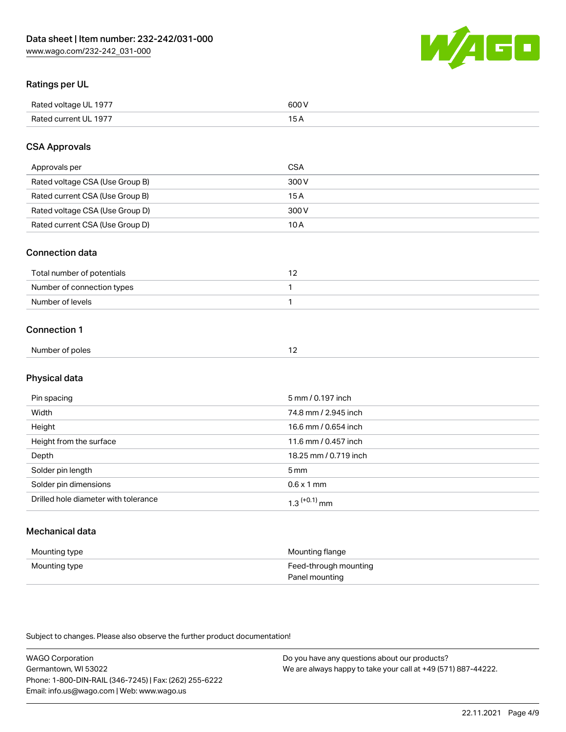

# Ratings per UL

| Rated voltage UL 1977                | COO V<br>ור |
|--------------------------------------|-------------|
| <b>Rated</b><br>UL 1977<br>curront l | _____       |

# CSA Approvals

| Approvals per                   | CSA   |
|---------------------------------|-------|
| Rated voltage CSA (Use Group B) | 300 V |
| Rated current CSA (Use Group B) | 15 A  |
| Rated voltage CSA (Use Group D) | 300 V |
| Rated current CSA (Use Group D) | 10 A  |

#### Connection data

| Total number of potentials |  |
|----------------------------|--|
| Number of connection types |  |
| Number of levels           |  |

#### Connection 1

|                 | $\sim$ |
|-----------------|--------|
| Number of poles |        |

# Physical data

| Pin spacing                          | 5 mm / 0.197 inch          |
|--------------------------------------|----------------------------|
| Width                                | 74.8 mm / 2.945 inch       |
| Height                               | 16.6 mm / 0.654 inch       |
| Height from the surface              | 11.6 mm / 0.457 inch       |
| Depth                                | 18.25 mm / 0.719 inch      |
| Solder pin length                    | 5 mm                       |
| Solder pin dimensions                | $0.6 \times 1$ mm          |
| Drilled hole diameter with tolerance | $1.3$ <sup>(+0.1)</sup> mm |

# Mechanical data

| Mounting type | Mounting flange                         |
|---------------|-----------------------------------------|
| Mounting type | Feed-through mounting<br>Panel mounting |

| <b>WAGO Corporation</b>                                | Do you have any questions about our products?                 |
|--------------------------------------------------------|---------------------------------------------------------------|
| Germantown, WI 53022                                   | We are always happy to take your call at +49 (571) 887-44222. |
| Phone: 1-800-DIN-RAIL (346-7245)   Fax: (262) 255-6222 |                                                               |
| Email: info.us@wago.com   Web: www.wago.us             |                                                               |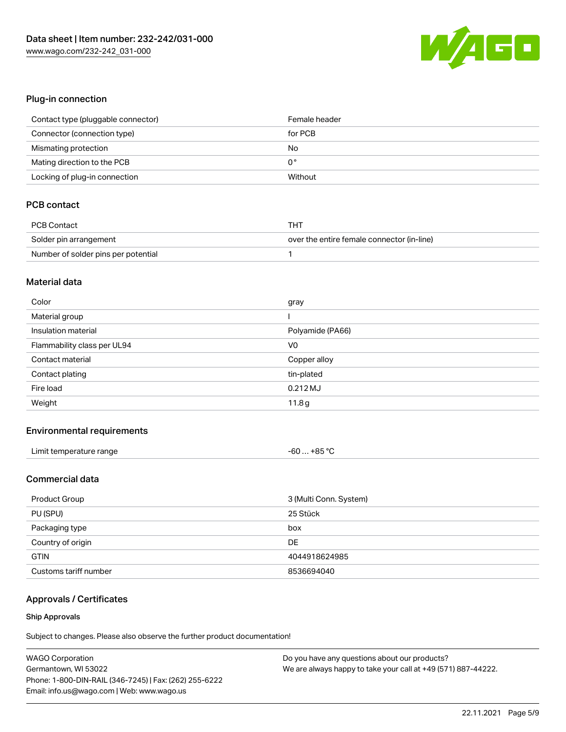

# Plug-in connection

| Contact type (pluggable connector) | Female header |
|------------------------------------|---------------|
| Connector (connection type)        | for PCB       |
| Mismating protection               | No            |
| Mating direction to the PCB        | 0°            |
| Locking of plug-in connection      | Without       |

# PCB contact

| PCB Contact                         | тнт                                        |
|-------------------------------------|--------------------------------------------|
| Solder pin arrangement              | over the entire female connector (in-line) |
| Number of solder pins per potential |                                            |

#### Material data

| Color                       | gray             |
|-----------------------------|------------------|
| Material group              |                  |
| Insulation material         | Polyamide (PA66) |
| Flammability class per UL94 | V <sub>0</sub>   |
| Contact material            | Copper alloy     |
|                             |                  |
| Contact plating             | tin-plated       |
| Fire load                   | $0.212$ MJ       |

### Environmental requirements

| Limit temperature range | $-60+85 °C$ |
|-------------------------|-------------|
|-------------------------|-------------|

# Commercial data

| Product Group         | 3 (Multi Conn. System) |
|-----------------------|------------------------|
| PU (SPU)              | 25 Stück               |
| Packaging type        | box                    |
| Country of origin     | DE                     |
| <b>GTIN</b>           | 4044918624985          |
| Customs tariff number | 8536694040             |

# Approvals / Certificates

#### Ship Approvals

| <b>WAGO Corporation</b>                                | Do you have any questions about our products?                 |
|--------------------------------------------------------|---------------------------------------------------------------|
| Germantown, WI 53022                                   | We are always happy to take your call at +49 (571) 887-44222. |
| Phone: 1-800-DIN-RAIL (346-7245)   Fax: (262) 255-6222 |                                                               |
| Email: info.us@wago.com   Web: www.wago.us             |                                                               |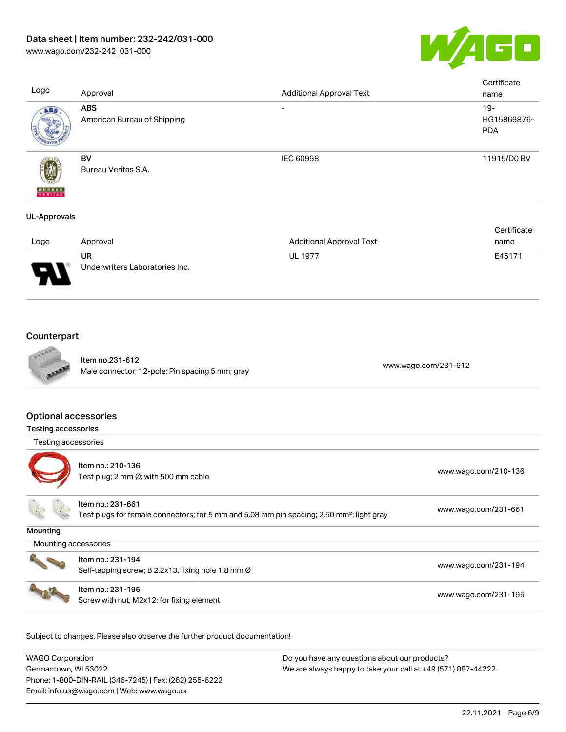



| Logo                     | Approval                                  | <b>Additional Approval Text</b> | Certificate<br>name                 |
|--------------------------|-------------------------------------------|---------------------------------|-------------------------------------|
| ABS                      | <b>ABS</b><br>American Bureau of Shipping | $\overline{\phantom{0}}$        | $19 -$<br>HG15869876-<br><b>PDA</b> |
| <b>BUREAU</b><br>VERITAS | BV<br>Bureau Veritas S.A.                 | IEC 60998                       | 11915/D0 BV                         |
| UL-Approvals             |                                           |                                 |                                     |

|        |                                |                                 | Certificate |
|--------|--------------------------------|---------------------------------|-------------|
| Logo   | Approval                       | <b>Additional Approval Text</b> | name        |
|        | UR                             | <b>UL 1977</b>                  | E45171      |
| J<br>◡ | Underwriters Laboratories Inc. |                                 |             |

# **Counterpart**



Item no.231-612 nem 10.231-612<br>Male connector; 12-pole; Pin spacing 5 mm; gray [www.wago.com/231-612](https://www.wago.com/231-612)

# Optional accessories

| Testing accessories  |                                                                                                                            |                      |
|----------------------|----------------------------------------------------------------------------------------------------------------------------|----------------------|
| Testing accessories  |                                                                                                                            |                      |
|                      | Item no.: 210-136<br>Test plug; 2 mm Ø; with 500 mm cable                                                                  | www.wago.com/210-136 |
|                      | Item no.: 231-661<br>Test plugs for female connectors; for 5 mm and 5.08 mm pin spacing; 2,50 mm <sup>2</sup> ; light gray | www.wago.com/231-661 |
| Mounting             |                                                                                                                            |                      |
| Mounting accessories |                                                                                                                            |                      |
|                      | Item no.: 231-194<br>Self-tapping screw; B 2.2x13, fixing hole 1.8 mm Ø                                                    | www.wago.com/231-194 |
|                      | Item no.: 231-195<br>Screw with nut; M2x12; for fixing element                                                             | www.wago.com/231-195 |

| <b>WAGO Corporation</b>                                | Do you have any questions about our products?                 |
|--------------------------------------------------------|---------------------------------------------------------------|
| Germantown, WI 53022                                   | We are always happy to take your call at +49 (571) 887-44222. |
| Phone: 1-800-DIN-RAIL (346-7245)   Fax: (262) 255-6222 |                                                               |
| Email: info.us@wago.com   Web: www.wago.us             |                                                               |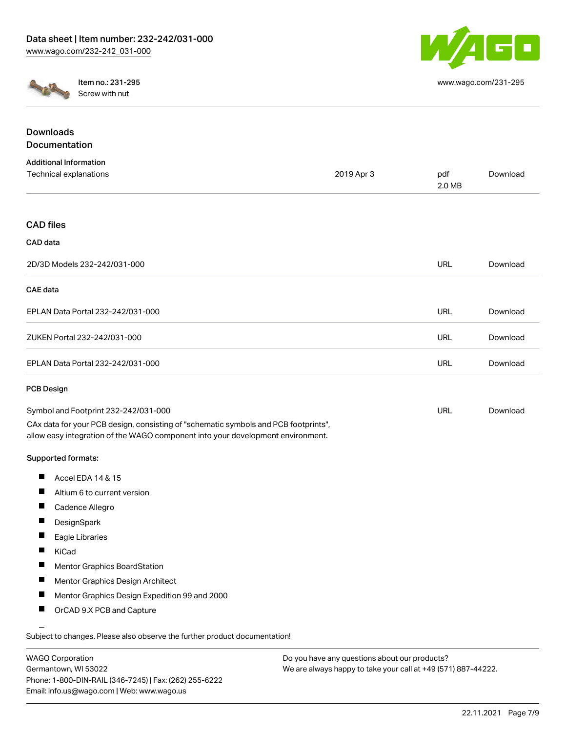

[www.wago.com/231-295](http://www.wago.com/231-295)



Item no.: 231-295 Screw with nut

| 2019 Apr 3                                                                          | pdf<br>2.0 MB                                                                   | Download |
|-------------------------------------------------------------------------------------|---------------------------------------------------------------------------------|----------|
|                                                                                     |                                                                                 |          |
|                                                                                     |                                                                                 |          |
|                                                                                     | <b>URL</b>                                                                      | Download |
|                                                                                     |                                                                                 |          |
|                                                                                     | URL                                                                             | Download |
|                                                                                     | <b>URL</b>                                                                      | Download |
|                                                                                     | <b>URL</b>                                                                      | Download |
|                                                                                     |                                                                                 |          |
| CAx data for your PCB design, consisting of "schematic symbols and PCB footprints", | URL                                                                             | Download |
|                                                                                     |                                                                                 |          |
|                                                                                     |                                                                                 |          |
|                                                                                     | allow easy integration of the WAGO component into your development environment. |          |

Subject to changes. Please also observe the further product documentation!

WAGO Corporation Germantown, WI 53022 Phone: 1-800-DIN-RAIL (346-7245) | Fax: (262) 255-6222 Email: info.us@wago.com | Web: www.wago.us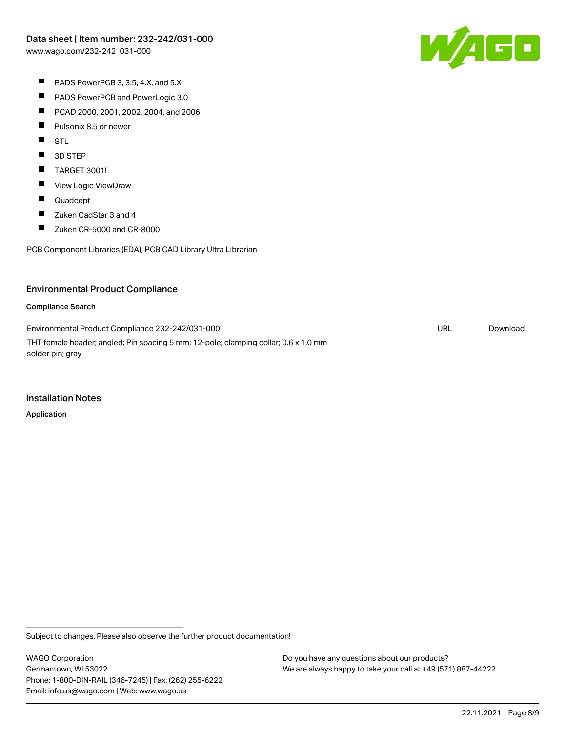W/AGC

- PADS PowerPCB 3, 3.5, 4.X, and 5.X
- $\blacksquare$ PADS PowerPCB and PowerLogic 3.0
- $\blacksquare$ PCAD 2000, 2001, 2002, 2004, and 2006
- $\blacksquare$ Pulsonix 8.5 or newer
- **STL**
- $\blacksquare$ 3D STEP
- $\blacksquare$ TARGET 3001!
- $\blacksquare$ View Logic ViewDraw
- $\blacksquare$ Quadcept
- $\blacksquare$ Zuken CadStar 3 and 4
- $\blacksquare$ Zuken CR-5000 and CR-8000

PCB Component Libraries (EDA), PCB CAD Library Ultra Librarian

# Environmental Product Compliance

#### Compliance Search

Environmental Product Compliance 232-242/031-000 THT female header; angled; Pin spacing 5 mm; 12-pole; clamping collar; 0.6 x 1.0 mm solder pin; gray URL [Download](https://www.wago.com/global/d/ComplianceLinkMediaContainer_232-242_031-000)

#### Installation Notes

Application

Subject to changes. Please also observe the further product documentation!

WAGO Corporation Germantown, WI 53022 Phone: 1-800-DIN-RAIL (346-7245) | Fax: (262) 255-6222 Email: info.us@wago.com | Web: www.wago.us